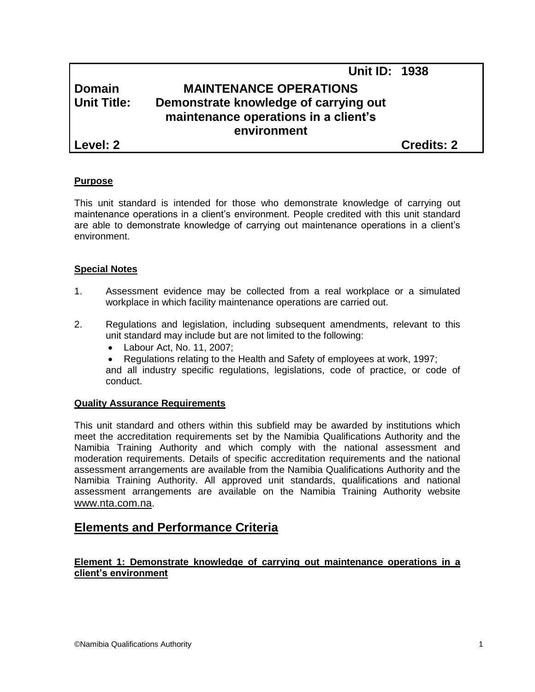# **Unit ID: 1938 Domain MAINTENANCE OPERATIONS Unit Title: Demonstrate knowledge of carrying out maintenance operations in a client's environment Level: 2 Credits: 2**

### **Purpose**

This unit standard is intended for those who demonstrate knowledge of carrying out maintenance operations in a client's environment. People credited with this unit standard are able to demonstrate knowledge of carrying out maintenance operations in a client's environment.

### **Special Notes**

- 1. Assessment evidence may be collected from a real workplace or a simulated workplace in which facility maintenance operations are carried out.
- 2. Regulations and legislation, including subsequent amendments, relevant to this unit standard may include but are not limited to the following:
	- Labour Act, No. 11, 2007;
	- Regulations relating to the Health and Safety of employees at work, 1997;

and all industry specific regulations, legislations, code of practice, or code of conduct.

#### **Quality Assurance Requirements**

This unit standard and others within this subfield may be awarded by institutions which meet the accreditation requirements set by the Namibia Qualifications Authority and the Namibia Training Authority and which comply with the national assessment and moderation requirements. Details of specific accreditation requirements and the national assessment arrangements are available from the Namibia Qualifications Authority and the Namibia Training Authority. All approved unit standards, qualifications and national assessment arrangements are available on the Namibia Training Authority website [www.nta.com.na](http://www.nta.com.na/).

## **Elements and Performance Criteria**

### **Element 1: Demonstrate knowledge of carrying out maintenance operations in a client's environment**